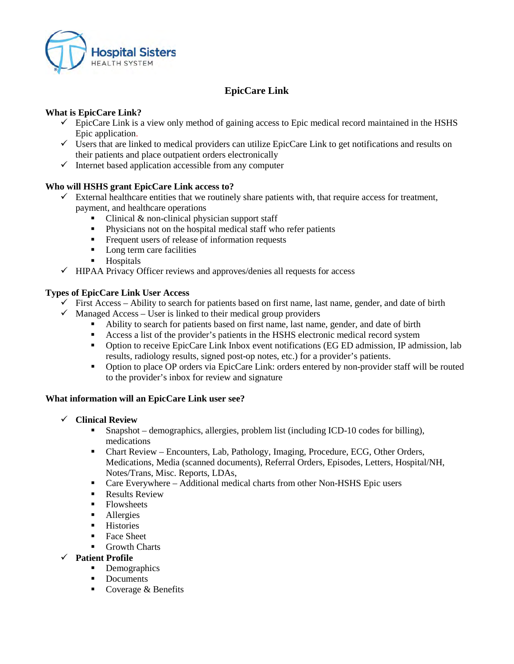

# **EpicCare Link**

### **What is EpicCare Link?**

- $\checkmark$  EpicCare Link is a view only method of gaining access to Epic medical record maintained in the HSHS Epic application.
- $\checkmark$  Users that are linked to medical providers can utilize EpicCare Link to get notifications and results on their patients and place outpatient orders electronically
- $\checkmark$  Internet based application accessible from any computer

#### **Who will HSHS grant EpicCare Link access to?**

- $\checkmark$  External healthcare entities that we routinely share patients with, that require access for treatment, payment, and healthcare operations
	- $\blacksquare$  Clinical & non-clinical physician support staff
	- Physicians not on the hospital medical staff who refer patients
	- **Figure 1** Frequent users of release of information requests
	- Long term care facilities
	- **Hospitals**
- $\checkmark$  HIPAA Privacy Officer reviews and approves/denies all requests for access

#### **Types of EpicCare Link User Access**

- $\checkmark$  First Access Ability to search for patients based on first name, last name, gender, and date of birth
- $\checkmark$  Managed Access User is linked to their medical group providers
	- Ability to search for patients based on first name, last name, gender, and date of birth
	- Access a list of the provider's patients in the HSHS electronic medical record system
	- Option to receive EpicCare Link Inbox event notifications (EG ED admission, IP admission, lab results, radiology results, signed post-op notes, etc.) for a provider's patients.
	- Option to place OP orders via EpicCare Link: orders entered by non-provider staff will be routed to the provider's inbox for review and signature

### **What information will an EpicCare Link user see?**

- **Clinical Review**
	- Snapshot demographics, allergies, problem list (including ICD-10 codes for billing), medications
	- Chart Review Encounters, Lab, Pathology, Imaging, Procedure, ECG, Other Orders, Medications, Media (scanned documents), Referral Orders, Episodes, Letters, Hospital/NH, Notes/Trans, Misc. Reports, LDAs,
	- Care Everywhere Additional medical charts from other Non-HSHS Epic users
	- **Results Review**
	- Flowsheets
	- Allergies
	- **Histories**
	- Face Sheet
	- **Growth Charts**
- **Patient Profile**
	- Demographics
	- Documents
	- Coverage  $&$  Benefits